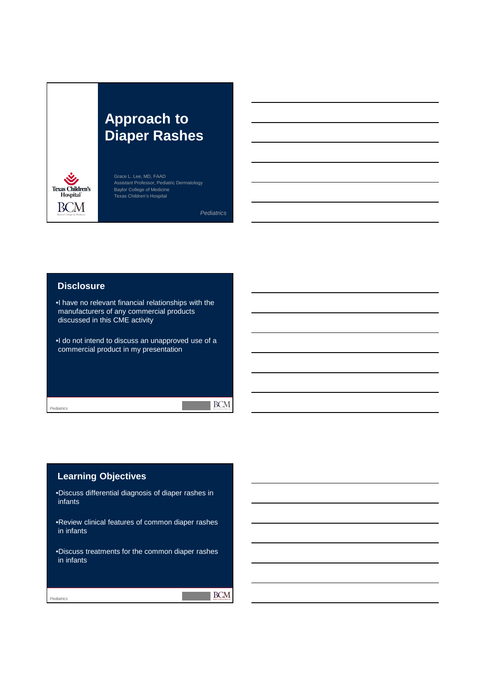# **Approach to Diaper Rashes**



Grace L. Lee, MD, FAAD Assistant Professor, Pediatric Dermatology Baylor College of Medicine Texas Children's Hospital

*Pediatrics*

 $\blacksquare$  BCM

#### **Disclosure**

•I have no relevant financial relationships with the manufacturers of any commercial products discussed in this CME activity

•I do not intend to discuss an unapproved use of a commercial product in my presentation

#### *Pediatrics*

## **Learning Objectives**

•Discuss differential diagnosis of diaper rashes in infants

•Review clinical features of common diaper rashes in infants

•Discuss treatments for the common diaper rashes in infants

*Pediatrics*

**BCM**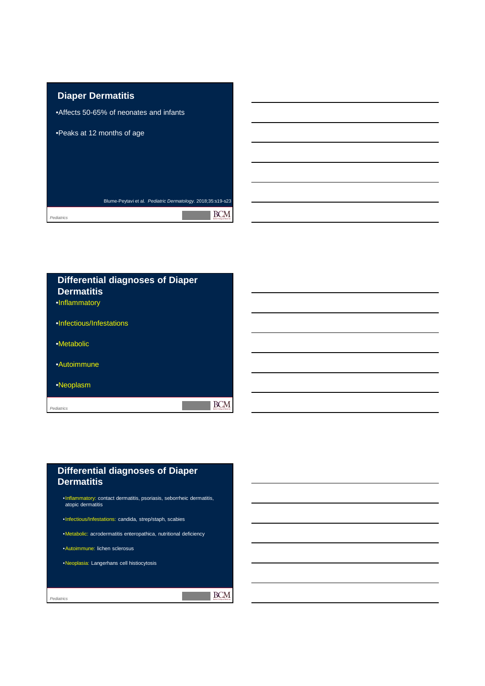

| <b>Differential diagnoses of Diaper</b><br><b>Dermatitis</b> |  |
|--------------------------------------------------------------|--|
| ·Inflammatory                                                |  |
| •Infectious/Infestations                                     |  |
| •Metabolic                                                   |  |
| •Autoimmune                                                  |  |
| •Neoplasm                                                    |  |
| Pediatrics<br><b>Earlier Collinson of Most</b>               |  |
|                                                              |  |

 $\blacksquare$  BCM

## **Differential diagnoses of Diaper Dermatitis**

•Inflammatory: contact dermatitis, psoriasis, seborrheic dermatitis, atopic dermatitis

•Infectious/Infestations: candida, strep/staph, scabies

•Metabolic: acrodermatitis enteropathica, nutritional deficiency

•Autoimmune: lichen sclerosus

•Neoplasia: Langerhans cell histiocytosis

*Pediatrics*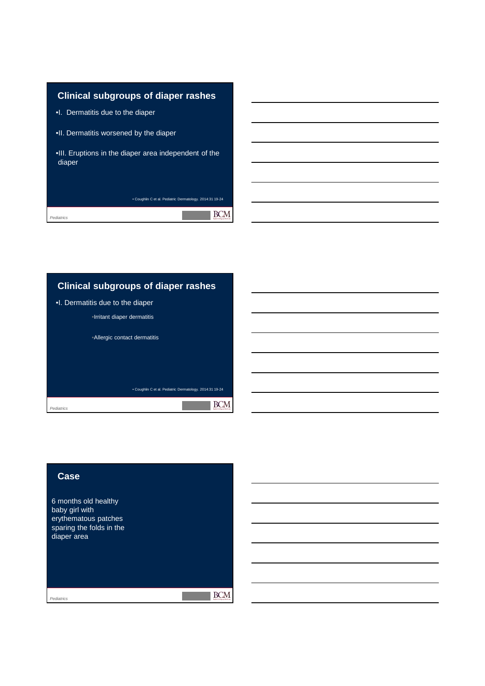

# **Clinical subgroups of diaper rashes** •I. Dermatitis due to the diaper •Irritant diaper dermatitis •Allergic contact dermatitis • Coughlin C et al. Pediatric Dermatology. 2014:31 19-24  $\blacksquare$  BCM *Pediatrics*

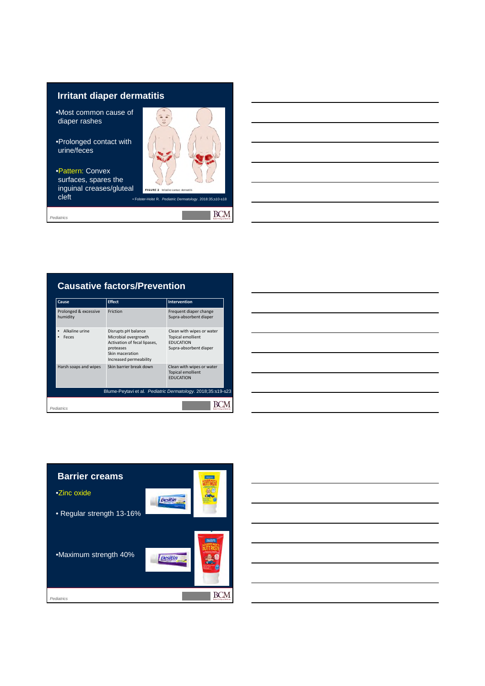## **Irritant diaper dermatitis**

- •Most common cause of diaper rashes
- •Prolonged contact with urine/feces
- •Pattern: Convex surfaces, spares the inguinal creases/gluteal **cleft** *cleft cleft cleft cleft***</del> <b>***cleft cleric D*

*Pediatrics*



in 1991.<br>Ngjarje

**BCM** 

## **Causative factors/Prevention**

| Cause                             | <b>Effect</b>                                                                                                                         | <b>Intervention</b>                                                                                 |
|-----------------------------------|---------------------------------------------------------------------------------------------------------------------------------------|-----------------------------------------------------------------------------------------------------|
| Prolonged & excessive<br>humidity | Friction                                                                                                                              | Frequent diaper change<br>Supra-absorbent diaper                                                    |
| Alkaline urine<br>Feces           | Disrupts pH balance<br>Microbial overgrowth<br>Activation of fecal lipases,<br>proteases<br>Skin maceration<br>Increased permeability | Clean with wipes or water<br><b>Topical emollient</b><br><b>FDUCATION</b><br>Supra-absorbent diaper |
| Harsh soaps and wipes             | Skin barrier break down                                                                                                               | Clean with wipes or water<br><b>Topical emollient</b><br><b>FDUCATION</b>                           |
|                                   | Blume-Peytavi et al. Pediatric Dermatology. 2018;35:s19-s23                                                                           |                                                                                                     |
| Pediatrics                        |                                                                                                                                       |                                                                                                     |



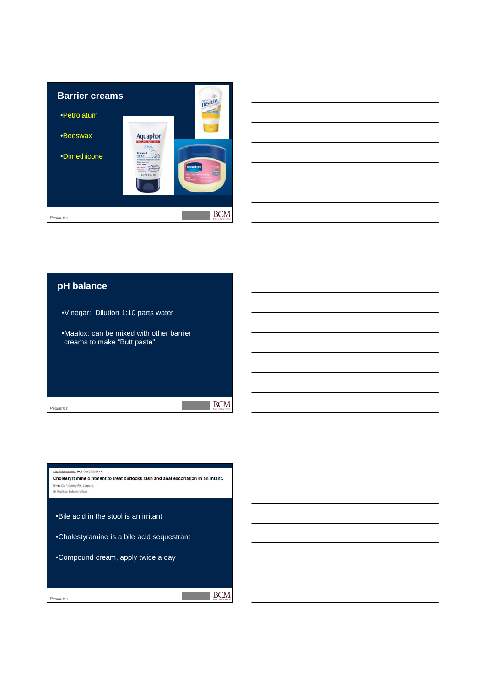



#### **pH balance**

*Pediatrics*

•Vinegar: Dilution 1:10 parts water •Maalox: can be mixed with other barrier creams to make "Butt paste"  $\mathbb{R}$  BCM  $\mathcal{O}(\mathbb{R}^d)$ 

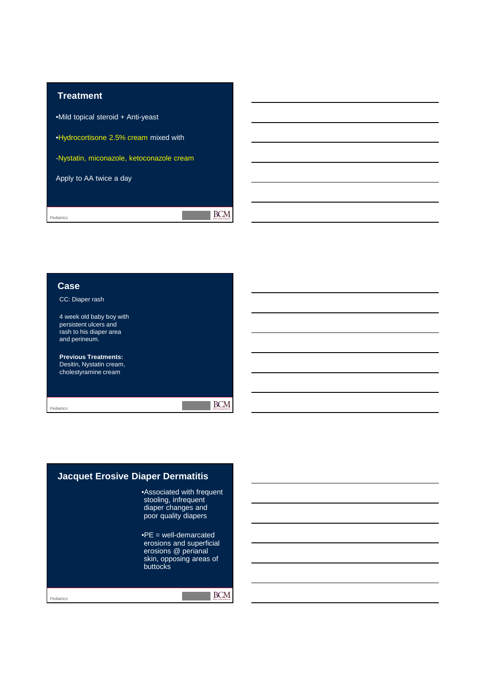

**Case** CC: Diaper rash 4 week old baby boy with persistent ulcers and rash to his diaper area and perineum. **Previous Treatments:** Desitin, Nystatin cream, cholestyramine cream  $\blacksquare$  BCM

**The State** 

*Pediatrics*

*Pediatrics* **Jacquet Erosive Diaper Dermatitis** •Associated with frequent stooling, infrequent diaper changes and poor quality diapers  $\text{P}E = \text{well-demarcated}$ erosions and superficial erosions @ perianal skin, opposing areas of buttocks *Figure 14.25a: Erosive diaper dermatitis. Pediatric Dermatology. 4th ed. By Lawrence A. Schachner, MD and*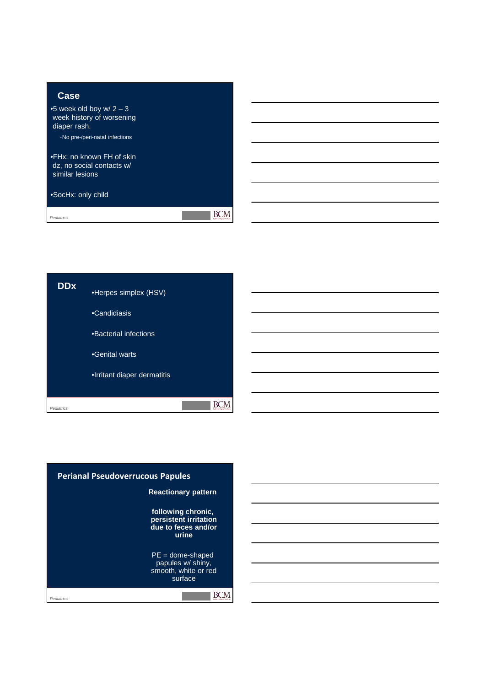

•SocHx: only child

*Pediatrics*

**DDx** •Herpes simplex (HSV) •Candidiasis •Bacterial infections •Genital warts •Irritant diaper dermatitis  $\blacksquare$  BCM *Pediatrics*

 $\blacksquare$  BCM

**The St** 

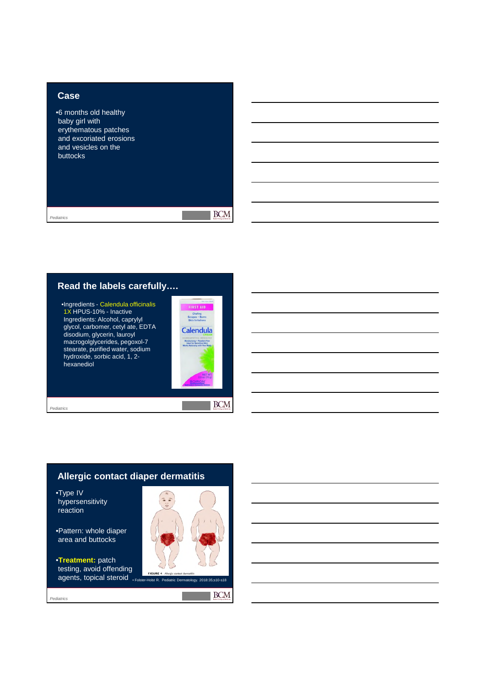#### **Case**

•6 months old healthy baby girl with erythematous patches and excoriated erosions and vesicles on the buttocks

*Pediatrics*

 $\blacksquare$  BCM

 $\mathcal{L}^{\text{max}}$ 

## **Read the labels carefully….**

•Ingredients - Calendula officinalis 1X HPUS-10% - Inactive Ingredients: Alcohol, caprylyl glycol, carbomer, cetyl ate, EDTA disodium, glycerin, lauroyl macrogolglycerides, pegoxol-7 stearate, purified water, sodium hydroxide, sorbic acid, 1, 2 hexanediol



 $\blacksquare$  BCM

**BCM** 

*Pediatrics*

## **Allergic contact diaper dermatitis** •Type IV hypersensitivity reaction •Pattern: whole diaper area and buttocks •**Treatment:** patch

testing, avoid offending **agents, topical steroid** • Folster-Holst R. Pediatric Dermator **and Formators**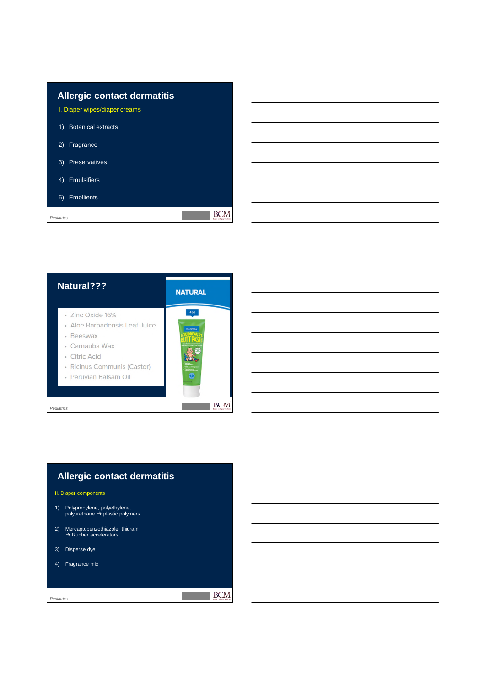## **Allergic contact dermatitis** I. Diaper wipes/diaper creams 1) Botanical extracts

- 2) Fragrance
- 3) Preservatives
- 4) Emulsifiers
- 5) Emollients

*Pediatrics*

| Natural???                                                                                                                                                | <b>NATURAL</b>        |
|-----------------------------------------------------------------------------------------------------------------------------------------------------------|-----------------------|
| · Zinc Oxide 16%<br>• Aloe Barbadensis Leaf Juice<br>• Beeswax<br>• Carnauba Wax<br>• Citric Acid<br>• Ricinus Communis (Castor)<br>• Peruvian Balsam Oil | 407<br><b>NATURAL</b> |
| Pediatrics                                                                                                                                                |                       |

## **Allergic contact dermatitis**

#### II. Diaper components

- 1) Polypropylene, polyethylene,<br>polyurethane → plastic polymers
- 2) Mercaptobenzothiazole, thiuram<br>  $\rightarrow$  Rubber accelerators
- 3) Disperse dye
- 4) Fragrance mix

*Pediatrics*

#### $\overline{\text{BCM}}$

 $\blacksquare$  BCM

**Contract**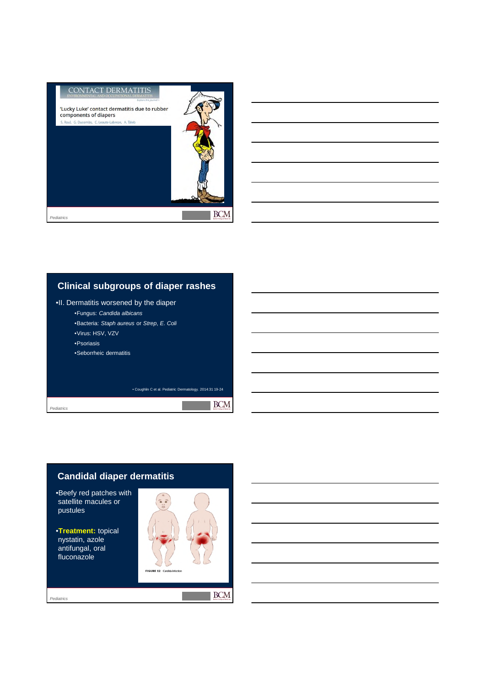

## **Clinical subgroups of diaper rashes**

#### •II. Dermatitis worsened by the diaper

- •Fungus: *Candida albicans*
- •Bacteria: *Staph aureus* or *Strep*, *E. Coli*
- •Virus: HSV, VZV
- •Psoriasis
- •Seborrheic dermatitis

• Coughlin C et al. Pediatric Dermatology. 2014:31 19-24

*Pediatrics*

*Pediatrics*

## **Candidal diaper dermatitis**

•Beefy red patches with satellite macules or pustules

•**Treatment:** topical nystatin, azole antifungal, oral fluconazole



**BCM** 

 $\blacksquare$  BCM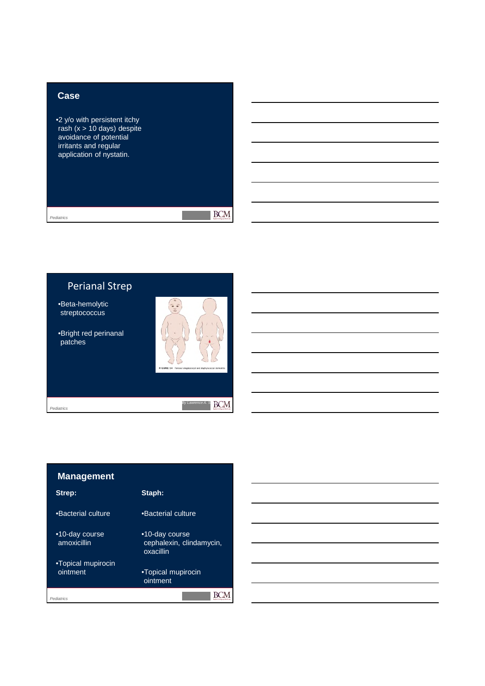### **Case**

•2 y/o with persistent itchy rash (x > 10 days) despite avoidance of potential irritants and regular application of nystatin.

*Pediatrics*

 $\blacksquare$  BCM

## Perianal Strep

•Beta-hemolytic streptococcus

•Bright red perinanal patches



**Contract** 

*<i>By Lawrence A. S.* **BCM** 

*Pediatrics*

## **Management**

| Strep:                         | Staph:                                                  |
|--------------------------------|---------------------------------------------------------|
| •Bacterial culture             | •Bacterial culture                                      |
| •10-day course<br>amoxicillin  | •10-day course<br>cephalexin, clindamycin,<br>oxacillin |
| •Topical mupirocin<br>ointment | •Topical mupirocin<br>ointment                          |
| Pediatrics                     |                                                         |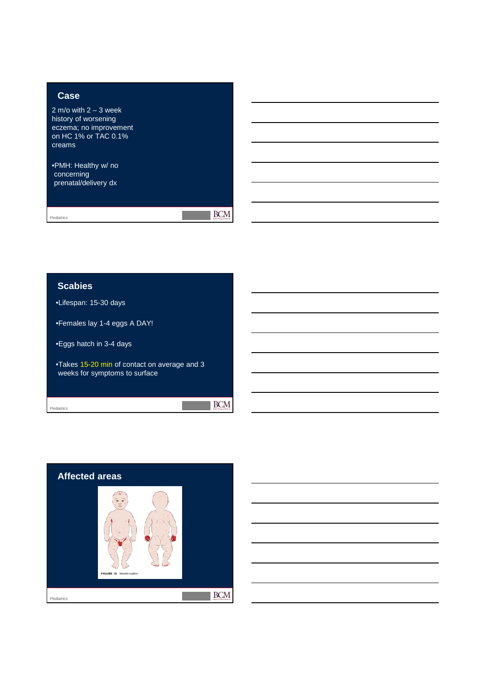### **Case**

2 m/o with  $2 - 3$  week history of worsening eczema; no improvement on HC 1% or TAC 0.1% creams

•PMH: Healthy w/ no concerning prenatal/delivery dx

*Pediatrics*

 $\overline{\text{BCM}}$ 

 $BCM$ 

### **Scabies**

•Lifespan: 15-30 days

•Females lay 1-4 eggs A DAY!

•Eggs hatch in 3-4 days

•Takes 15-20 min of contact on average and 3 weeks for symptoms to surface

*Pediatrics*

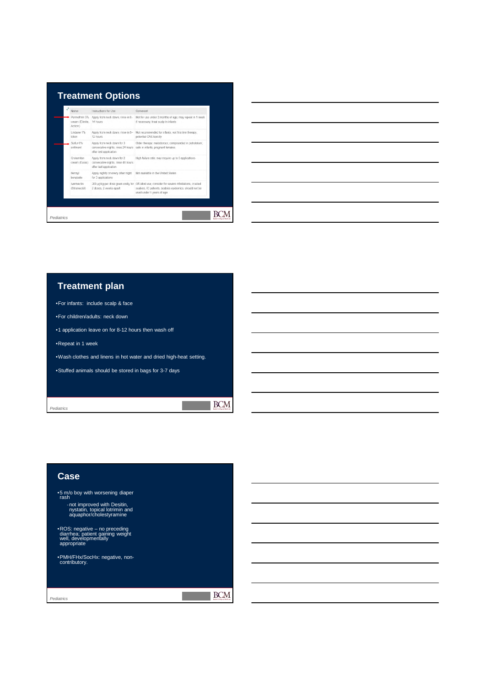

#### **Treatment plan**

•For infants: include scalp & face

- •For children/adults: neck down
- •1 application leave on for 8-12 hours then wash off

•Repeat in 1 week

•Wash clothes and linens in hot water and dried high-heat setting.

 $\blacksquare$  BCM

•Stuffed animals should be stored in bags for 3-7 days

*Pediatrics*

# **Case** •5 m/o boy with worsening diaper rash ‐not improved with Desitin, nystatin, topical lotrimin and aquaphor/cholestyramine •ROS: negative – no preceding diarrhea; patient gaining weight well, developmentally appropriate •PMH/FHx/SocHx: negative, non-contributory.**BCM** *Pediatrics*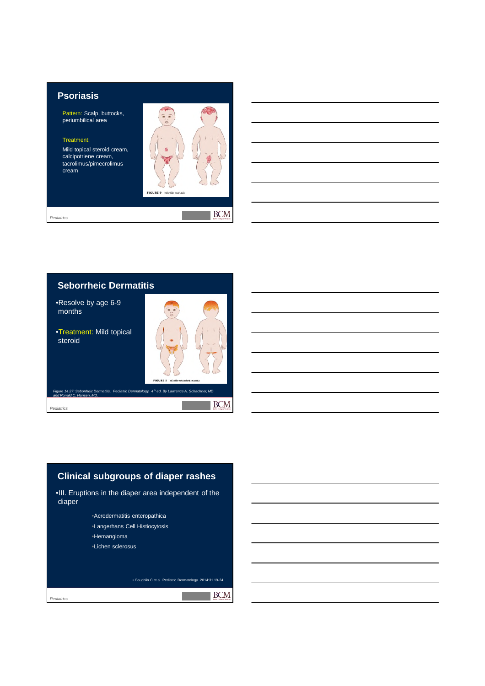### **Psoriasis**

Pattern: Scalp, buttocks, periumbilical area

#### Treatment:

Mild topical steroid cream, calcipotriene cream, tacrolimus/pimecrolimus cream



**Tara** 

*Pediatrics*

#### **Seborrheic Dermatitis**

•Resolve by age 6-9 months

•Treatment: Mild topical steroid



**BCM** 

**BCM** 

*Figure 14.27: Seborrheic Dermatitis. Pediatric Dermatology. 4th ed. By Lawrence A. Schachner, MD Figure 14.27: Set* 

*Pediatrics*

*Pediatrics*

## **Clinical subgroups of diaper rashes**

•III. Eruptions in the diaper area independent of the diaper

- •Acrodermatitis enteropathica
- •Langerhans Cell Histiocytosis
- •Hemangioma
- •Lichen sclerosus

• Coughlin C et al. Pediatric Dermatology. 2014:31 19-24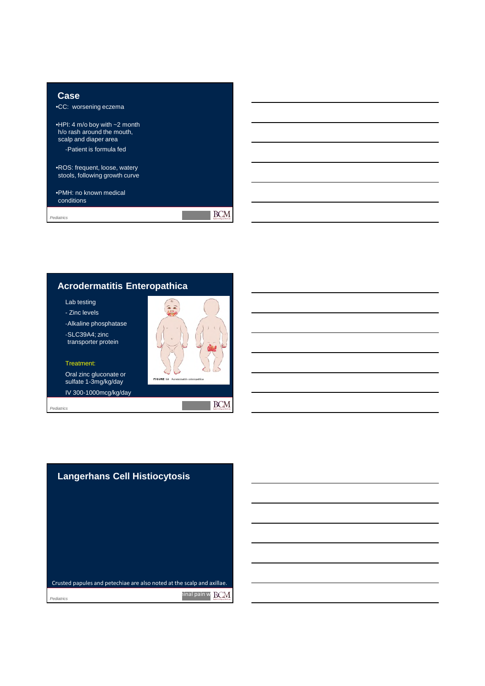

## **Acrodermatitis Enteropathica**

Lab testing

- Zinc levels

‐Alkaline phosphatase

‐SLC39A4; zinc transporter protein

Treatment:

Oral zinc gluconate or sulfate 1-3mg/kg/day IV 300-1000mcg/kg/day

*Pediatrics*



**FIGURE 16 A** 

**BCM**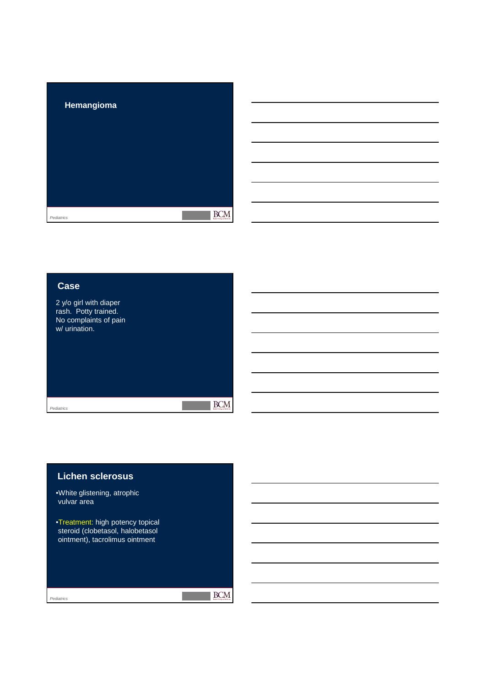

| Case                                                                                     |  |  |
|------------------------------------------------------------------------------------------|--|--|
| 2 y/o girl with diaper<br>rash. Potty trained.<br>No complaints of pain<br>w/ urination. |  |  |
| Pediatrics                                                                               |  |  |
|                                                                                          |  |  |

| <b>Lichen sclerosus</b> |  |
|-------------------------|--|
|                         |  |

•White glistening, atrophic vulvar area

•Treatment: high potency topical steroid (clobetasol, halobetasol ointment), tacrolimus ointment

 $\mathbb{R}$  BCM

r.

*Pediatrics*